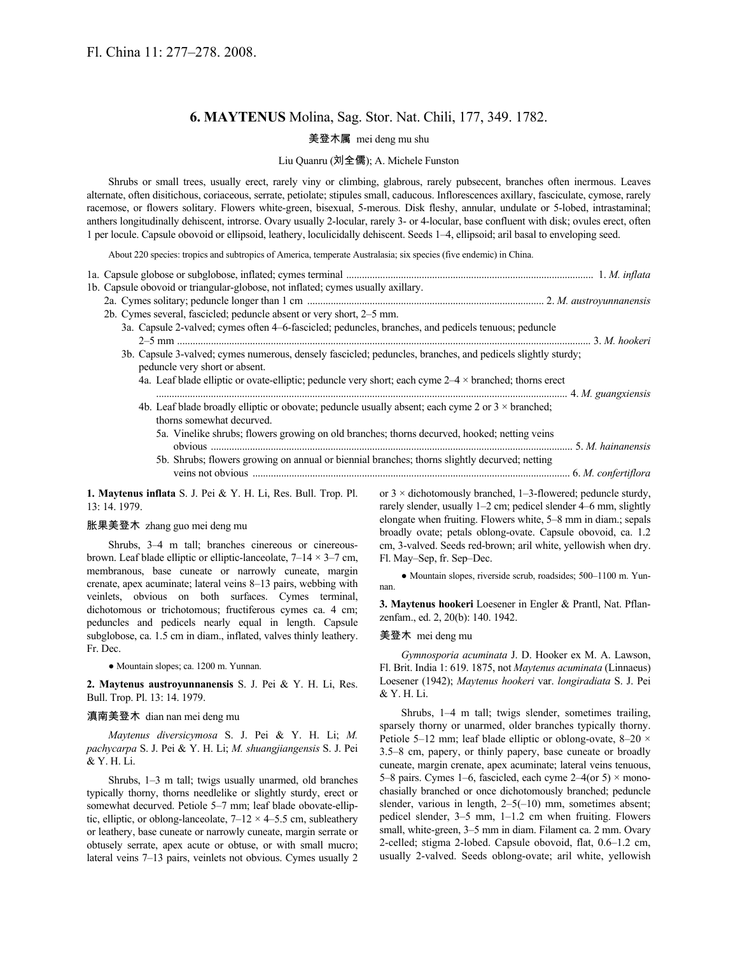# **6. MAYTENUS** Molina, Sag. Stor. Nat. Chili, 177, 349. 1782.

## 美登木属 mei deng mu shu

### Liu Quanru (刘全儒); A. Michele Funston

Shrubs or small trees, usually erect, rarely viny or climbing, glabrous, rarely pubsecent, branches often inermous. Leaves alternate, often disitichous, coriaceous, serrate, petiolate; stipules small, caducous. Inflorescences axillary, fasciculate, cymose, rarely racemose, or flowers solitary. Flowers white-green, bisexual, 5-merous. Disk fleshy, annular, undulate or 5-lobed, intrastaminal; anthers longitudinally dehiscent, introrse. Ovary usually 2-locular, rarely 3- or 4-locular, base confluent with disk; ovules erect, often 1 per locule. Capsule obovoid or ellipsoid, leathery, loculicidally dehiscent. Seeds 1–4, ellipsoid; aril basal to enveloping seed.

About 220 species: tropics and subtropics of America, temperate Australasia; six species (five endemic) in China.

| 1b. Capsule obovoid or triangular-globose, not inflated; cymes usually axillary.                                                              |  |
|-----------------------------------------------------------------------------------------------------------------------------------------------|--|
|                                                                                                                                               |  |
| 2b. Cymes several, fascicled; peduncle absent or very short, 2–5 mm.                                                                          |  |
| 3a. Capsule 2-valved; cymes often 4–6-fascicled; peduncles, branches, and pedicels tenuous; peduncle                                          |  |
|                                                                                                                                               |  |
| 3b. Capsule 3-valved; cymes numerous, densely fascicled; peduncles, branches, and pedicels slightly sturdy;<br>peduncle very short or absent. |  |
| 4a. Leaf blade elliptic or ovate-elliptic; peduncle very short; each cyme $2-4 \times$ branched; thorns erect                                 |  |
| 4b. Leaf blade broadly elliptic or obovate; peduncle usually absent; each cyme 2 or $3 \times$ branched;<br>thorns somewhat decurved.         |  |
| 5a. Vinelike shrubs; flowers growing on old branches; thorns decurved, hooked; netting veins                                                  |  |
| 5b. Shrubs; flowers growing on annual or biennial branches; thorns slightly decurved; netting                                                 |  |
|                                                                                                                                               |  |

**1. Maytenus inflata** S. J. Pei & Y. H. Li, Res. Bull. Trop. Pl. 13: 14. 1979.

## 胀果美登木 zhang guo mei deng mu

Shrubs, 3–4 m tall; branches cinereous or cinereousbrown. Leaf blade elliptic or elliptic-lanceolate,  $7-14 \times 3-7$  cm, membranous, base cuneate or narrowly cuneate, margin crenate, apex acuminate; lateral veins 8–13 pairs, webbing with veinlets, obvious on both surfaces. Cymes terminal, dichotomous or trichotomous; fructiferous cymes ca. 4 cm; peduncles and pedicels nearly equal in length. Capsule subglobose, ca. 1.5 cm in diam., inflated, valves thinly leathery. Fr. Dec.

● Mountain slopes; ca. 1200 m. Yunnan.

**2. Maytenus austroyunnanensis** S. J. Pei & Y. H. Li, Res. Bull. Trop. Pl. 13: 14. 1979.

#### 滇南美登木 dian nan mei deng mu

*Maytenus diversicymosa* S. J. Pei & Y. H. Li; *M. pachycarpa* S. J. Pei & Y. H. Li; *M. shuangjiangensis* S. J. Pei & Y. H. Li.

Shrubs, 1–3 m tall; twigs usually unarmed, old branches typically thorny, thorns needlelike or slightly sturdy, erect or somewhat decurved. Petiole 5–7 mm; leaf blade obovate-elliptic, elliptic, or oblong-lanceolate,  $7-12 \times 4-5.5$  cm, subleathery or leathery, base cuneate or narrowly cuneate, margin serrate or obtusely serrate, apex acute or obtuse, or with small mucro; lateral veins 7–13 pairs, veinlets not obvious. Cymes usually 2 or  $3 \times$  dichotomously branched, 1–3-flowered; peduncle sturdy, rarely slender, usually 1–2 cm; pedicel slender 4–6 mm, slightly elongate when fruiting. Flowers white, 5–8 mm in diam.; sepals broadly ovate; petals oblong-ovate. Capsule obovoid, ca. 1.2 cm, 3-valved. Seeds red-brown; aril white, yellowish when dry. Fl. May–Sep, fr. Sep–Dec.

● Mountain slopes, riverside scrub, roadsides; 500–1100 m. Yunnan.

**3. Maytenus hookeri** Loesener in Engler & Prantl, Nat. Pflanzenfam., ed. 2, 20(b): 140. 1942.

#### 美登木 mei deng mu

*Gymnosporia acuminata* J. D. Hooker ex M. A. Lawson, Fl. Brit. India 1: 619. 1875, not *Maytenus acuminata* (Linnaeus) Loesener (1942); *Maytenus hookeri* var. *longiradiata* S. J. Pei & Y. H. Li.

Shrubs, 1–4 m tall; twigs slender, sometimes trailing, sparsely thorny or unarmed, older branches typically thorny. Petiole 5–12 mm; leaf blade elliptic or oblong-ovate,  $8-20 \times$ 3.5–8 cm, papery, or thinly papery, base cuneate or broadly cuneate, margin crenate, apex acuminate; lateral veins tenuous, 5–8 pairs. Cymes 1–6, fascicled, each cyme  $2-4$  (or 5)  $\times$  monochasially branched or once dichotomously branched; peduncle slender, various in length,  $2-5(-10)$  mm, sometimes absent; pedicel slender, 3–5 mm, 1–1.2 cm when fruiting. Flowers small, white-green, 3–5 mm in diam. Filament ca. 2 mm. Ovary 2-celled; stigma 2-lobed. Capsule obovoid, flat, 0.6–1.2 cm, usually 2-valved. Seeds oblong-ovate; aril white, yellowish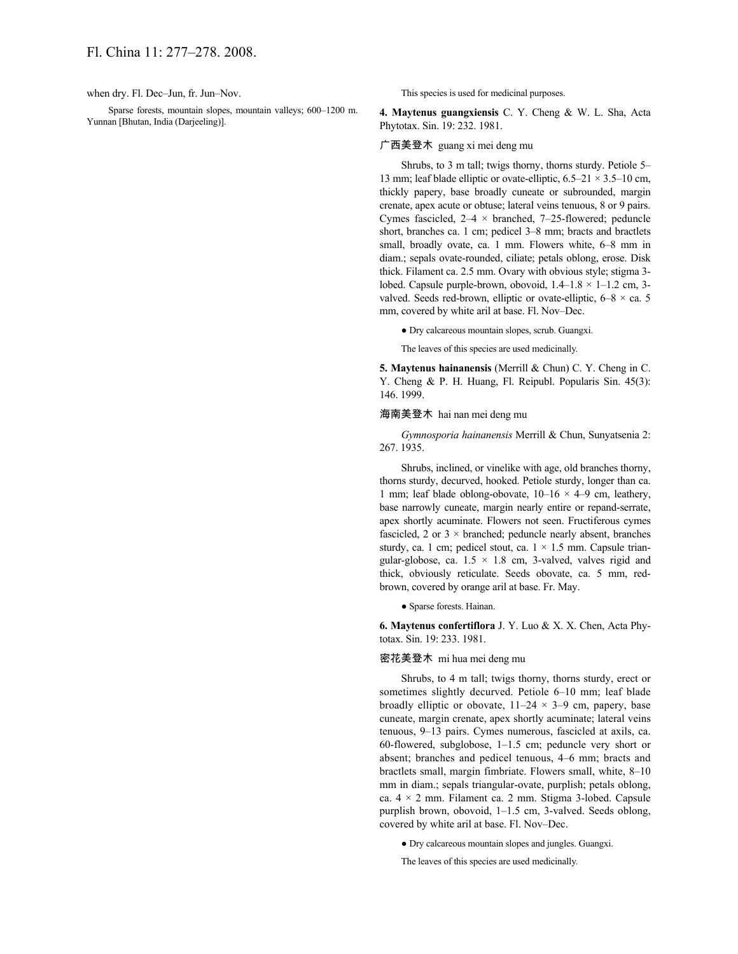when dry. Fl. Dec–Jun, fr. Jun–Nov.

Sparse forests, mountain slopes, mountain valleys; 600–1200 m. Yunnan [Bhutan, India (Darjeeling)].

This species is used for medicinal purposes.

**4. Maytenus guangxiensis** C. Y. Cheng & W. L. Sha, Acta Phytotax. Sin. 19: 232. 1981.

### 广西美登木 guang xi mei deng mu

Shrubs, to 3 m tall; twigs thorny, thorns sturdy. Petiole 5– 13 mm; leaf blade elliptic or ovate-elliptic,  $6.5-21 \times 3.5-10$  cm, thickly papery, base broadly cuneate or subrounded, margin crenate, apex acute or obtuse; lateral veins tenuous, 8 or 9 pairs. Cymes fascicled,  $2-4 \times$  branched, 7-25-flowered; peduncle short, branches ca. 1 cm; pedicel 3–8 mm; bracts and bractlets small, broadly ovate, ca. 1 mm. Flowers white, 6–8 mm in diam.; sepals ovate-rounded, ciliate; petals oblong, erose. Disk thick. Filament ca. 2.5 mm. Ovary with obvious style; stigma 3 lobed. Capsule purple-brown, obovoid,  $1.4-1.8 \times 1-1.2$  cm, 3valved. Seeds red-brown, elliptic or ovate-elliptic,  $6-8 \times$  ca. 5 mm, covered by white aril at base. Fl. Nov–Dec.

● Dry calcareous mountain slopes, scrub. Guangxi.

The leaves of this species are used medicinally.

**5. Maytenus hainanensis** (Merrill & Chun) C. Y. Cheng in C. Y. Cheng & P. H. Huang, Fl. Reipubl. Popularis Sin. 45(3): 146. 1999.

#### 海南美登木 hai nan mei deng mu

*Gymnosporia hainanensis* Merrill & Chun, Sunyatsenia 2: 267. 1935.

Shrubs, inclined, or vinelike with age, old branches thorny, thorns sturdy, decurved, hooked. Petiole sturdy, longer than ca. 1 mm; leaf blade oblong-obovate,  $10-16 \times 4-9$  cm, leathery, base narrowly cuneate, margin nearly entire or repand-serrate, apex shortly acuminate. Flowers not seen. Fructiferous cymes fascicled, 2 or  $3 \times$  branched; peduncle nearly absent, branches sturdy, ca. 1 cm; pedicel stout, ca.  $1 \times 1.5$  mm. Capsule triangular-globose, ca.  $1.5 \times 1.8$  cm, 3-valved, valves rigid and thick, obviously reticulate. Seeds obovate, ca. 5 mm, redbrown, covered by orange aril at base. Fr. May.

● Sparse forests. Hainan.

**6. Maytenus confertiflora** J. Y. Luo & X. X. Chen, Acta Phytotax. Sin. 19: 233. 1981.

## 密花美登木 mi hua mei deng mu

Shrubs, to 4 m tall; twigs thorny, thorns sturdy, erect or sometimes slightly decurved. Petiole 6–10 mm; leaf blade broadly elliptic or obovate,  $11-24 \times 3-9$  cm, papery, base cuneate, margin crenate, apex shortly acuminate; lateral veins tenuous, 9–13 pairs. Cymes numerous, fascicled at axils, ca. 60-flowered, subglobose, 1–1.5 cm; peduncle very short or absent; branches and pedicel tenuous, 4–6 mm; bracts and bractlets small, margin fimbriate. Flowers small, white, 8–10 mm in diam.; sepals triangular-ovate, purplish; petals oblong, ca.  $4 \times 2$  mm. Filament ca. 2 mm. Stigma 3-lobed. Capsule purplish brown, obovoid, 1–1.5 cm, 3-valved. Seeds oblong, covered by white aril at base. Fl. Nov–Dec.

● Dry calcareous mountain slopes and jungles. Guangxi.

The leaves of this species are used medicinally.